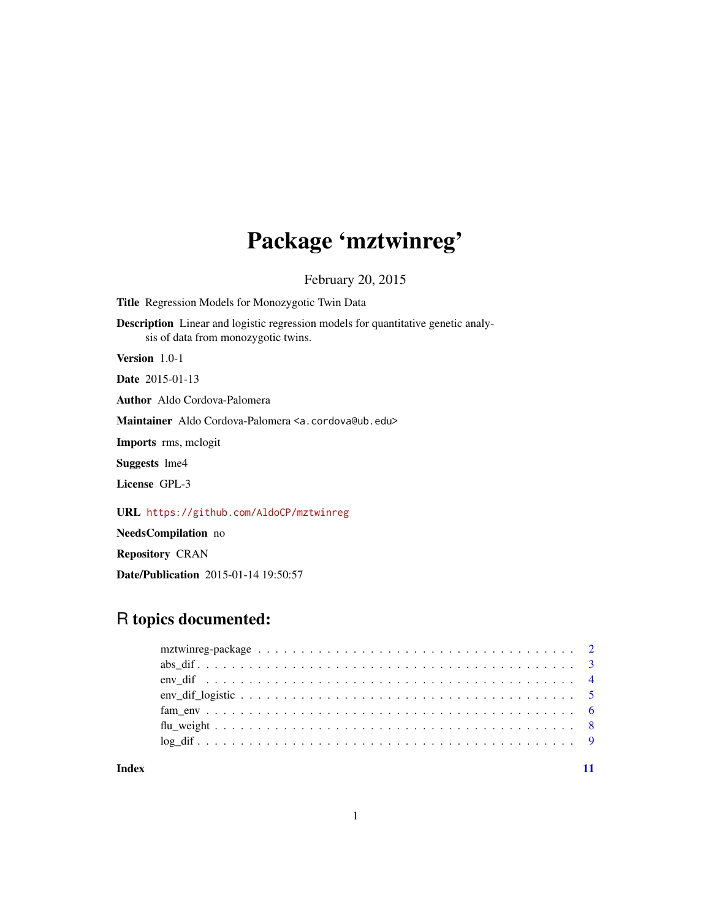## Package 'mztwinreg'

February 20, 2015

<span id="page-0-0"></span>Title Regression Models for Monozygotic Twin Data

Description Linear and logistic regression models for quantitative genetic analysis of data from monozygotic twins.

Version 1.0-1

Date 2015-01-13

Author Aldo Cordova-Palomera

Maintainer Aldo Cordova-Palomera <a.cordova@ub.edu>

Imports rms, mclogit

Suggests lme4

License GPL-3

URL <https://github.com/AldoCP/mztwinreg>

NeedsCompilation no

Repository CRAN

Date/Publication 2015-01-14 19:50:57

## R topics documented:

#### **Index** [11](#page-10-0)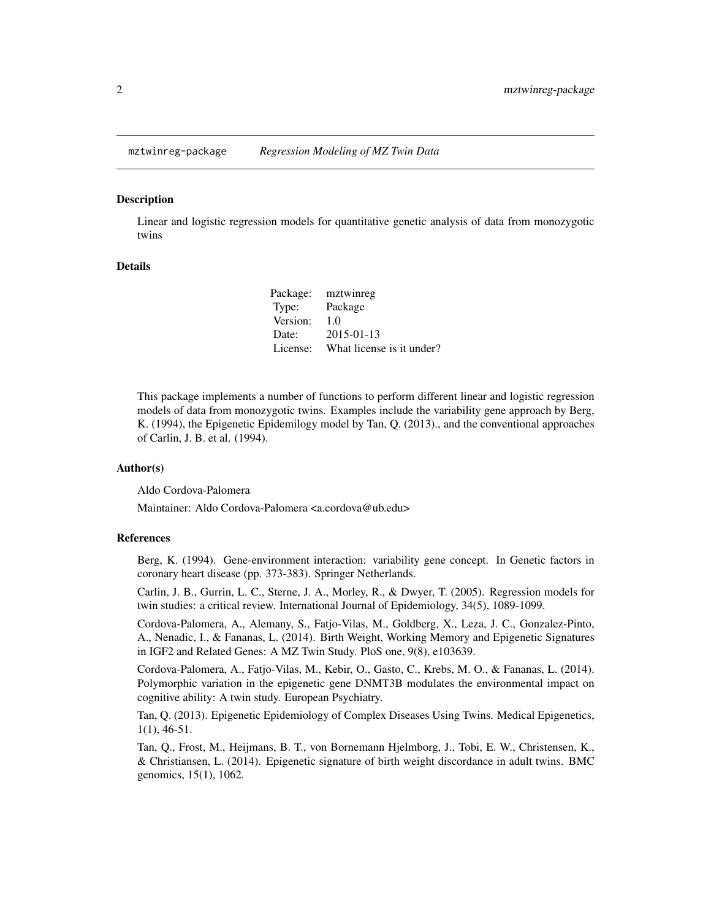<span id="page-1-0"></span>

#### Description

Linear and logistic regression models for quantitative genetic analysis of data from monozygotic twins

#### Details

|          | Package: mztwinreg        |
|----------|---------------------------|
| Type:    | Package                   |
| Version: | 1.0                       |
| Date:    | 2015-01-13                |
| License: | What license is it under? |

This package implements a number of functions to perform different linear and logistic regression models of data from monozygotic twins. Examples include the variability gene approach by Berg, K. (1994), the Epigenetic Epidemilogy model by Tan, Q. (2013)., and the conventional approaches of Carlin, J. B. et al. (1994).

#### Author(s)

Aldo Cordova-Palomera

Maintainer: Aldo Cordova-Palomera <a.cordova@ub.edu>

#### References

Berg, K. (1994). Gene-environment interaction: variability gene concept. In Genetic factors in coronary heart disease (pp. 373-383). Springer Netherlands.

Carlin, J. B., Gurrin, L. C., Sterne, J. A., Morley, R., & Dwyer, T. (2005). Regression models for twin studies: a critical review. International Journal of Epidemiology, 34(5), 1089-1099.

Cordova-Palomera, A., Alemany, S., Fatjo-Vilas, M., Goldberg, X., Leza, J. C., Gonzalez-Pinto, A., Nenadic, I., & Fananas, L. (2014). Birth Weight, Working Memory and Epigenetic Signatures in IGF2 and Related Genes: A MZ Twin Study. PloS one, 9(8), e103639.

Cordova-Palomera, A., Fatjo-Vilas, M., Kebir, O., Gasto, C., Krebs, M. O., & Fananas, L. (2014). Polymorphic variation in the epigenetic gene DNMT3B modulates the environmental impact on cognitive ability: A twin study. European Psychiatry.

Tan, Q. (2013). Epigenetic Epidemiology of Complex Diseases Using Twins. Medical Epigenetics, 1(1), 46-51.

Tan, Q., Frost, M., Heijmans, B. T., von Bornemann Hjelmborg, J., Tobi, E. W., Christensen, K., & Christiansen, L. (2014). Epigenetic signature of birth weight discordance in adult twins. BMC genomics, 15(1), 1062.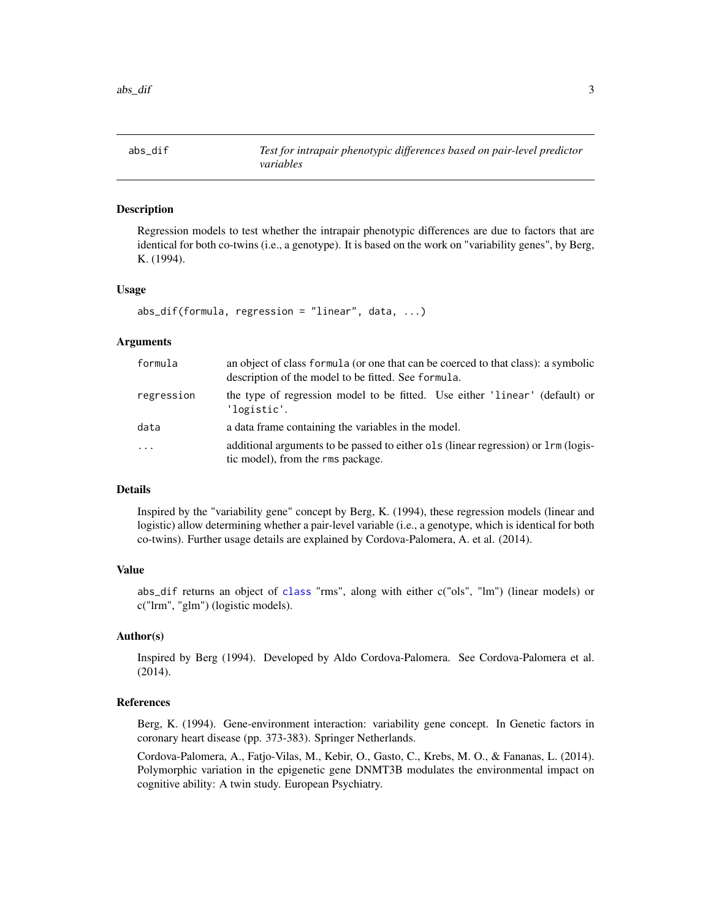<span id="page-2-0"></span>

## Description

Regression models to test whether the intrapair phenotypic differences are due to factors that are identical for both co-twins (i.e., a genotype). It is based on the work on "variability genes", by Berg, K. (1994).

#### Usage

```
abs_dif(formula, regression = "linear", data, ...)
```
#### Arguments

| formula    | an object of class formula (or one that can be coerced to that class): a symbolic<br>description of the model to be fitted. See formula. |  |
|------------|------------------------------------------------------------------------------------------------------------------------------------------|--|
| regression | the type of regression model to be fitted. Use either 'linear' (default) or<br>'logistic'.                                               |  |
| data       | a data frame containing the variables in the model.                                                                                      |  |
| $\cdots$   | additional arguments to be passed to either ols (linear regression) or lrm (logis-<br>tic model), from the rms package.                  |  |

## Details

Inspired by the "variability gene" concept by Berg, K. (1994), these regression models (linear and logistic) allow determining whether a pair-level variable (i.e., a genotype, which is identical for both co-twins). Further usage details are explained by Cordova-Palomera, A. et al. (2014).

#### Value

abs\_dif returns an object of [class](#page-0-0) "rms", along with either c("ols", "lm") (linear models) or c("lrm", "glm") (logistic models).

#### Author(s)

Inspired by Berg (1994). Developed by Aldo Cordova-Palomera. See Cordova-Palomera et al. (2014).

### References

Berg, K. (1994). Gene-environment interaction: variability gene concept. In Genetic factors in coronary heart disease (pp. 373-383). Springer Netherlands.

Cordova-Palomera, A., Fatjo-Vilas, M., Kebir, O., Gasto, C., Krebs, M. O., & Fananas, L. (2014). Polymorphic variation in the epigenetic gene DNMT3B modulates the environmental impact on cognitive ability: A twin study. European Psychiatry.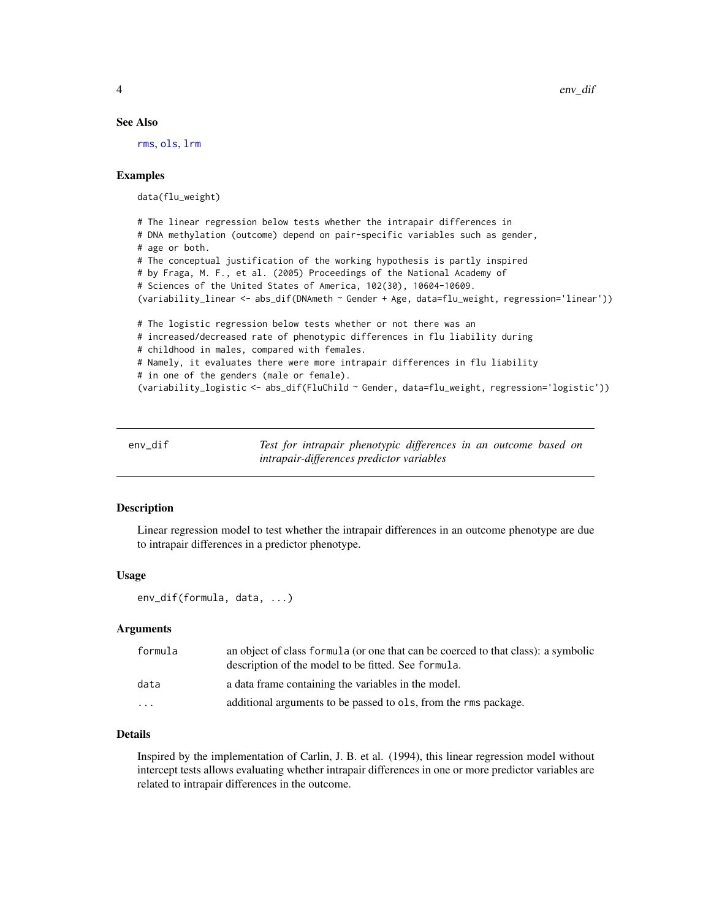#### See Also

[rms](#page-0-0), [ols](#page-0-0), [lrm](#page-0-0)

## Examples

data(flu\_weight)

```
# The linear regression below tests whether the intrapair differences in
# DNA methylation (outcome) depend on pair-specific variables such as gender,
# age or both.
# The conceptual justification of the working hypothesis is partly inspired
# by Fraga, M. F., et al. (2005) Proceedings of the National Academy of
# Sciences of the United States of America, 102(30), 10604-10609.
(variability_linear <- abs_dif(DNAmeth ~ Gender + Age, data=flu_weight, regression='linear'))
# The logistic regression below tests whether or not there was an
# increased/decreased rate of phenotypic differences in flu liability during
# childhood in males, compared with females.
# Namely, it evaluates there were more intrapair differences in flu liability
# in one of the genders (male or female).
(variability_logistic <- abs_dif(FluChild ~ Gender, data=flu_weight, regression='logistic'))
```

| env dif | Test for intrapair phenotypic differences in an outcome based on |  |  |  |
|---------|------------------------------------------------------------------|--|--|--|
|         | intrapair-differences predictor variables                        |  |  |  |

#### Description

Linear regression model to test whether the intrapair differences in an outcome phenotype are due to intrapair differences in a predictor phenotype.

#### Usage

env\_dif(formula, data, ...)

#### Arguments

| formula                 | an object of class formula (or one that can be coerced to that class): a symbolic<br>description of the model to be fitted. See formula. |
|-------------------------|------------------------------------------------------------------------------------------------------------------------------------------|
| data                    | a data frame containing the variables in the model.                                                                                      |
| $\cdot$ $\cdot$ $\cdot$ | additional arguments to be passed to ols, from the rms package.                                                                          |

## Details

Inspired by the implementation of Carlin, J. B. et al. (1994), this linear regression model without intercept tests allows evaluating whether intrapair differences in one or more predictor variables are related to intrapair differences in the outcome.

<span id="page-3-0"></span>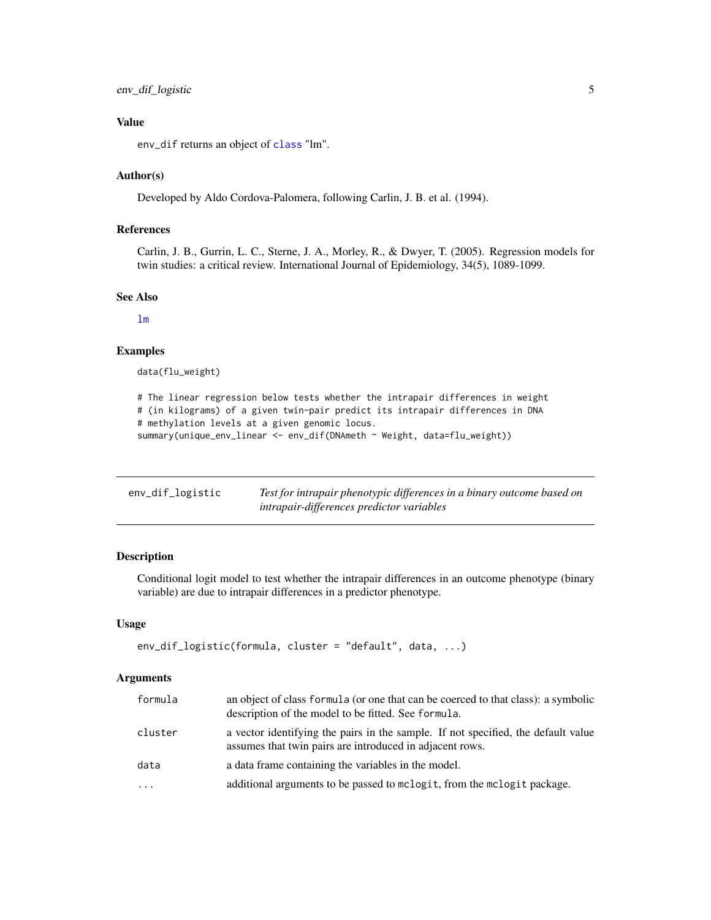## <span id="page-4-0"></span>Value

env\_dif returns an object of [class](#page-0-0) "lm".

#### Author(s)

Developed by Aldo Cordova-Palomera, following Carlin, J. B. et al. (1994).

## References

Carlin, J. B., Gurrin, L. C., Sterne, J. A., Morley, R., & Dwyer, T. (2005). Regression models for twin studies: a critical review. International Journal of Epidemiology, 34(5), 1089-1099.

#### See Also

[lm](#page-0-0)

## Examples

data(flu\_weight)

```
# The linear regression below tests whether the intrapair differences in weight
# (in kilograms) of a given twin-pair predict its intrapair differences in DNA
# methylation levels at a given genomic locus.
summary(unique_env_linear <- env_dif(DNAmeth ~ Weight, data=flu_weight))
```

| env_dif_logistic | Test for intrapair phenotypic differences in a binary outcome based on |
|------------------|------------------------------------------------------------------------|
|                  | <i>intrapair-differences predictor variables</i>                       |

## Description

Conditional logit model to test whether the intrapair differences in an outcome phenotype (binary variable) are due to intrapair differences in a predictor phenotype.

#### Usage

```
env_dif_logistic(formula, cluster = "default", data, ...)
```
#### Arguments

| formula                 | an object of class formula (or one that can be coerced to that class): a symbolic<br>description of the model to be fitted. See formula.      |
|-------------------------|-----------------------------------------------------------------------------------------------------------------------------------------------|
| cluster                 | a vector identifying the pairs in the sample. If not specified, the default value<br>assumes that twin pairs are introduced in adjacent rows. |
| data                    | a data frame containing the variables in the model.                                                                                           |
| $\cdot$ $\cdot$ $\cdot$ | additional arguments to be passed to morting the monometric package.                                                                          |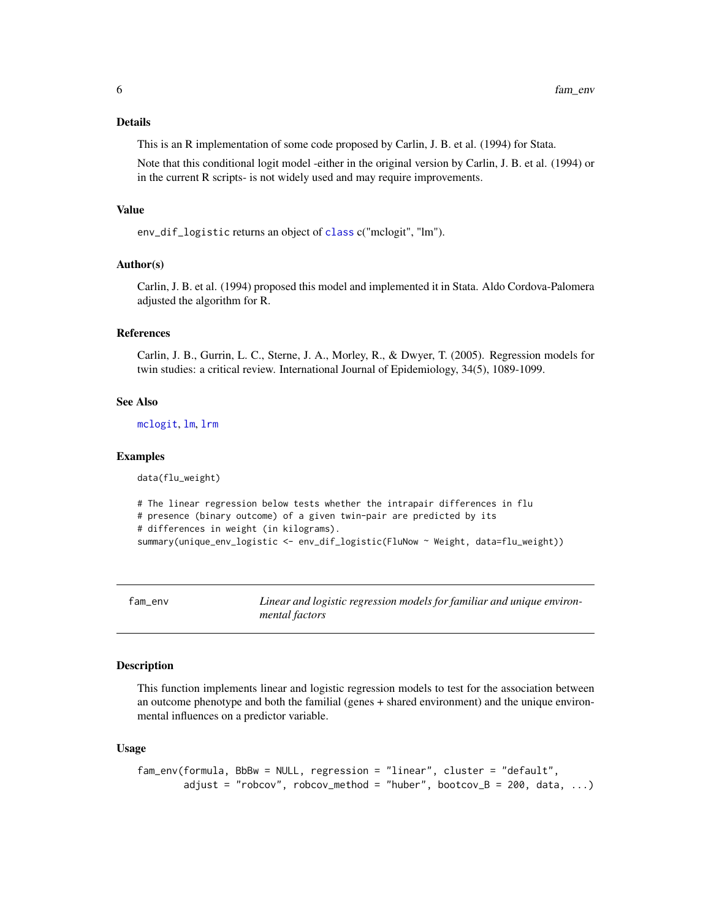#### <span id="page-5-0"></span>Details

This is an R implementation of some code proposed by Carlin, J. B. et al. (1994) for Stata.

Note that this conditional logit model -either in the original version by Carlin, J. B. et al. (1994) or in the current R scripts- is not widely used and may require improvements.

## Value

env\_dif\_logistic returns an object of [class](#page-0-0) c("mclogit", "lm").

#### Author(s)

Carlin, J. B. et al. (1994) proposed this model and implemented it in Stata. Aldo Cordova-Palomera adjusted the algorithm for R.

## References

Carlin, J. B., Gurrin, L. C., Sterne, J. A., Morley, R., & Dwyer, T. (2005). Regression models for twin studies: a critical review. International Journal of Epidemiology, 34(5), 1089-1099.

#### See Also

[mclogit](#page-0-0), [lm](#page-0-0), [lrm](#page-0-0)

#### Examples

data(flu\_weight)

```
# The linear regression below tests whether the intrapair differences in flu
# presence (binary outcome) of a given twin-pair are predicted by its
# differences in weight (in kilograms).
summary(unique_env_logistic <- env_dif_logistic(FluNow ~ Weight, data=flu_weight))
```
fam\_env *Linear and logistic regression models for familiar and unique environmental factors*

#### Description

This function implements linear and logistic regression models to test for the association between an outcome phenotype and both the familial (genes + shared environment) and the unique environmental influences on a predictor variable.

#### Usage

```
fam_env(formula, BbBw = NULL, regression = "linear", cluster = "default",
        adjust = "robcov", robcov_method = "huber", bootcov_B = 200, data, ...)
```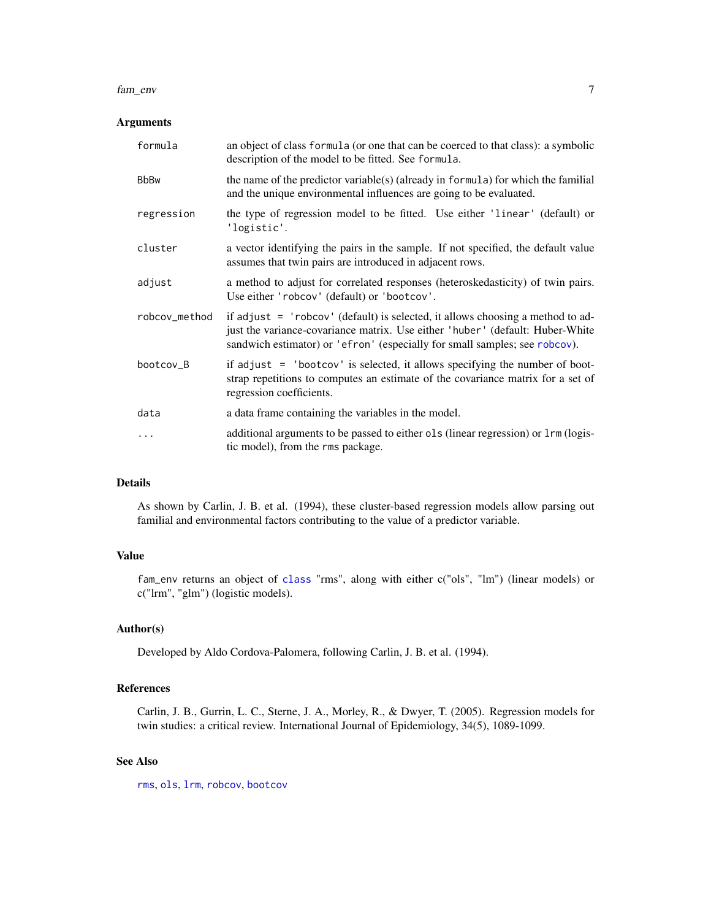#### <span id="page-6-0"></span>fam\_env 7

## Arguments

| formula       | an object of class formula (or one that can be coerced to that class): a symbolic<br>description of the model to be fitted. See formula.                                                                                                        |
|---------------|-------------------------------------------------------------------------------------------------------------------------------------------------------------------------------------------------------------------------------------------------|
| <b>BbBw</b>   | the name of the predictor variable(s) (already in formula) for which the familial<br>and the unique environmental influences are going to be evaluated.                                                                                         |
| regression    | the type of regression model to be fitted. Use either 'linear' (default) or<br>'logistic'.                                                                                                                                                      |
| cluster       | a vector identifying the pairs in the sample. If not specified, the default value<br>assumes that twin pairs are introduced in adjacent rows.                                                                                                   |
| adjust        | a method to adjust for correlated responses (heteroskedasticity) of twin pairs.<br>Use either 'robcov' (default) or 'bootcov'.                                                                                                                  |
| robcov_method | if adjust $=$ 'robcov' (default) is selected, it allows choosing a method to ad-<br>just the variance-covariance matrix. Use either 'huber' (default: Huber-White<br>sandwich estimator) or 'efron' (especially for small samples; see robcov). |
| bootcov_B     | if adjust $=$ 'bootcov' is selected, it allows specifying the number of boot-<br>strap repetitions to computes an estimate of the covariance matrix for a set of<br>regression coefficients.                                                    |
| data          | a data frame containing the variables in the model.                                                                                                                                                                                             |
| .             | additional arguments to be passed to either ols (linear regression) or lrm (logis-<br>tic model), from the rms package.                                                                                                                         |

#### Details

As shown by Carlin, J. B. et al. (1994), these cluster-based regression models allow parsing out familial and environmental factors contributing to the value of a predictor variable.

## Value

fam\_env returns an object of [class](#page-0-0) "rms", along with either c("ols", "lm") (linear models) or c("lrm", "glm") (logistic models).

#### Author(s)

Developed by Aldo Cordova-Palomera, following Carlin, J. B. et al. (1994).

## References

Carlin, J. B., Gurrin, L. C., Sterne, J. A., Morley, R., & Dwyer, T. (2005). Regression models for twin studies: a critical review. International Journal of Epidemiology, 34(5), 1089-1099.

## See Also

[rms](#page-0-0), [ols](#page-0-0), [lrm](#page-0-0), [robcov](#page-0-0), [bootcov](#page-0-0)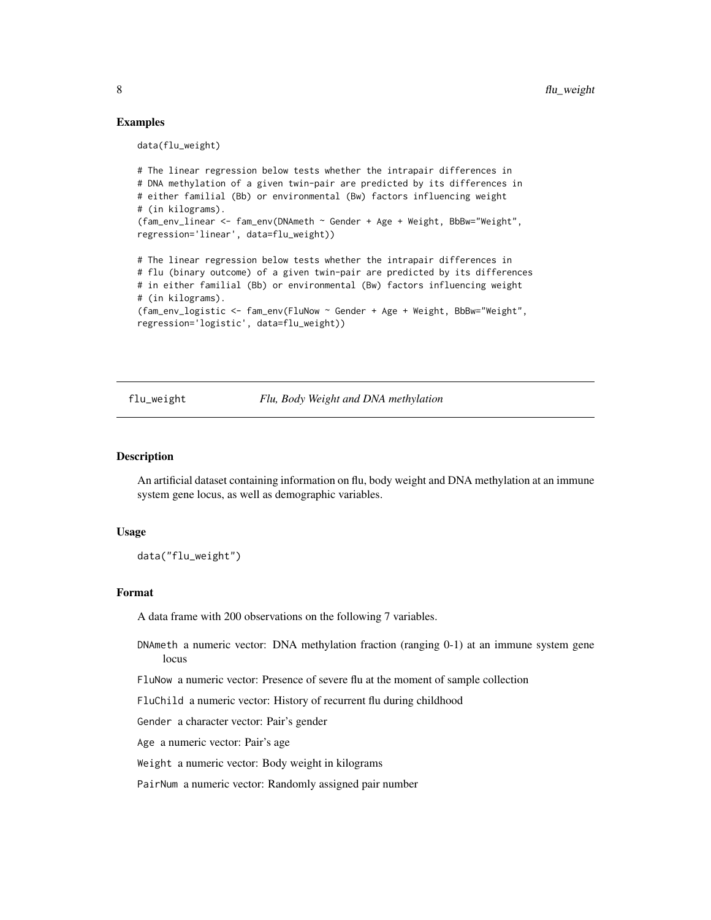## Examples

data(flu\_weight)

```
# The linear regression below tests whether the intrapair differences in
# DNA methylation of a given twin-pair are predicted by its differences in
# either familial (Bb) or environmental (Bw) factors influencing weight
# (in kilograms).
(fam_env_linear <- fam_env(DNAmeth ~ Gender + Age + Weight, BbBw="Weight",
regression='linear', data=flu_weight))
# The linear regression below tests whether the intrapair differences in
# flu (binary outcome) of a given twin-pair are predicted by its differences
# in either familial (Bb) or environmental (Bw) factors influencing weight
# (in kilograms).
(fam_env_logistic <- fam_env(FluNow ~ Gender + Age + Weight, BbBw="Weight",
regression='logistic', data=flu_weight))
```
flu\_weight *Flu, Body Weight and DNA methylation*

#### **Description**

An artificial dataset containing information on flu, body weight and DNA methylation at an immune system gene locus, as well as demographic variables.

#### Usage

data("flu\_weight")

## Format

A data frame with 200 observations on the following 7 variables.

- DNAmeth a numeric vector: DNA methylation fraction (ranging 0-1) at an immune system gene locus
- FluNow a numeric vector: Presence of severe flu at the moment of sample collection

FluChild a numeric vector: History of recurrent flu during childhood

Gender a character vector: Pair's gender

Age a numeric vector: Pair's age

Weight a numeric vector: Body weight in kilograms

PairNum a numeric vector: Randomly assigned pair number

<span id="page-7-0"></span>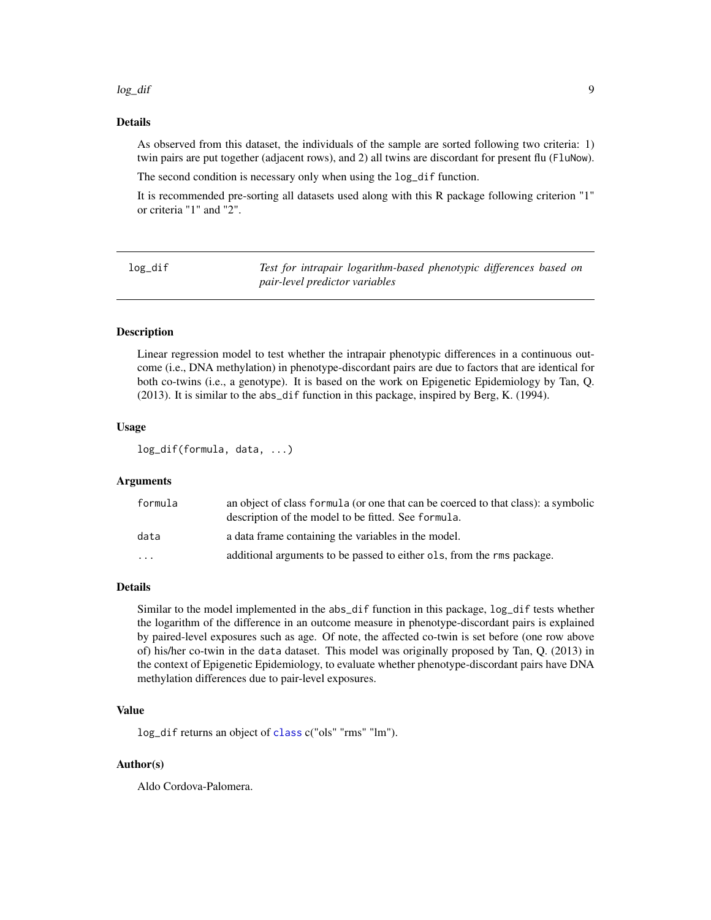#### <span id="page-8-0"></span>log\_dif 9

#### Details

As observed from this dataset, the individuals of the sample are sorted following two criteria: 1) twin pairs are put together (adjacent rows), and 2) all twins are discordant for present flu (FluNow).

The second condition is necessary only when using the log\_dif function.

It is recommended pre-sorting all datasets used along with this R package following criterion "1" or criteria "1" and "2".

log\_dif *Test for intrapair logarithm-based phenotypic differences based on pair-level predictor variables*

## **Description**

Linear regression model to test whether the intrapair phenotypic differences in a continuous outcome (i.e., DNA methylation) in phenotype-discordant pairs are due to factors that are identical for both co-twins (i.e., a genotype). It is based on the work on Epigenetic Epidemiology by Tan, Q. (2013). It is similar to the abs\_dif function in this package, inspired by Berg, K. (1994).

## Usage

log\_dif(formula, data, ...)

#### Arguments

| formula | an object of class formula (or one that can be coerced to that class): a symbolic<br>description of the model to be fitted. See formula. |
|---------|------------------------------------------------------------------------------------------------------------------------------------------|
| data    | a data frame containing the variables in the model.                                                                                      |
| $\cdot$ | additional arguments to be passed to either ols, from the rms package.                                                                   |

#### Details

Similar to the model implemented in the abs\_dif function in this package, log\_dif tests whether the logarithm of the difference in an outcome measure in phenotype-discordant pairs is explained by paired-level exposures such as age. Of note, the affected co-twin is set before (one row above of) his/her co-twin in the data dataset. This model was originally proposed by Tan, Q. (2013) in the context of Epigenetic Epidemiology, to evaluate whether phenotype-discordant pairs have DNA methylation differences due to pair-level exposures.

#### Value

log\_dif returns an object of [class](#page-0-0) c("ols" "rms" "lm").

## Author(s)

Aldo Cordova-Palomera.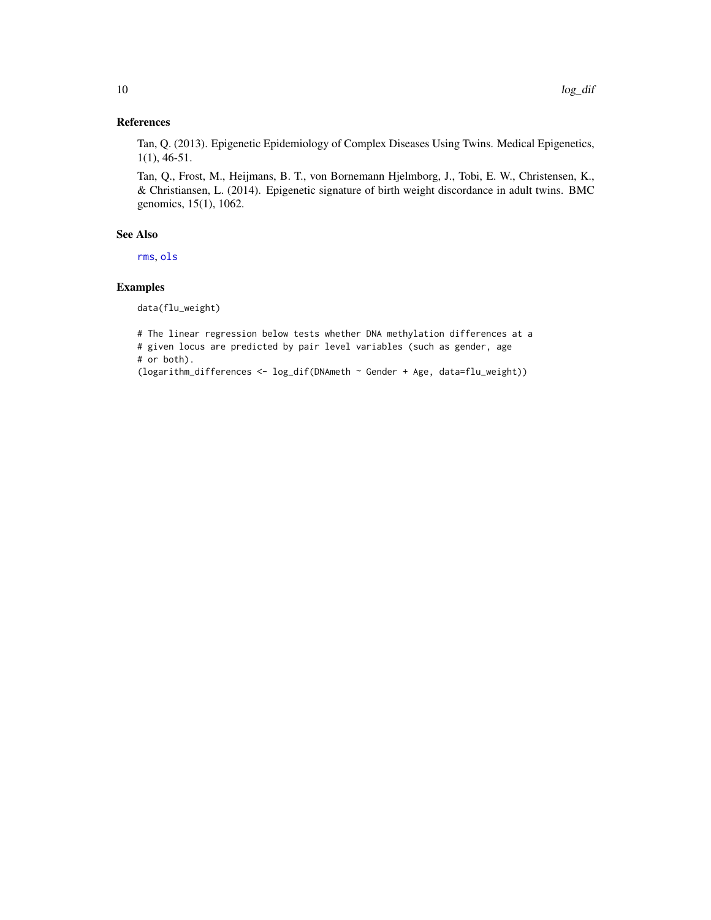## References

Tan, Q. (2013). Epigenetic Epidemiology of Complex Diseases Using Twins. Medical Epigenetics, 1(1), 46-51.

Tan, Q., Frost, M., Heijmans, B. T., von Bornemann Hjelmborg, J., Tobi, E. W., Christensen, K., & Christiansen, L. (2014). Epigenetic signature of birth weight discordance in adult twins. BMC genomics, 15(1), 1062.

## See Also

[rms](#page-0-0), [ols](#page-0-0)

## Examples

data(flu\_weight)

# The linear regression below tests whether DNA methylation differences at a # given locus are predicted by pair level variables (such as gender, age # or both). (logarithm\_differences <- log\_dif(DNAmeth ~ Gender + Age, data=flu\_weight))

<span id="page-9-0"></span>